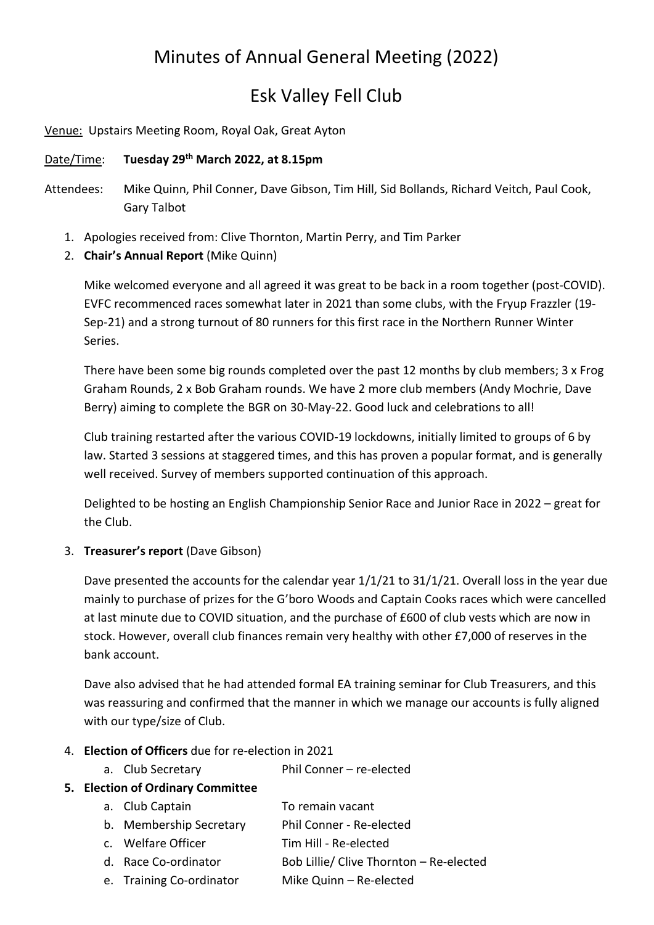# Minutes of Annual General Meeting (2022)

# Esk Valley Fell Club

Venue: Upstairs Meeting Room, Royal Oak, Great Ayton

## Date/Time: Tuesday 29<sup>th</sup> March 2022, at 8.15pm

- Attendees: Mike Quinn, Phil Conner, Dave Gibson, Tim Hill, Sid Bollands, Richard Veitch, Paul Cook, Gary Talbot
	- 1. Apologies received from: Clive Thornton, Martin Perry, and Tim Parker
	- 2. Chair's Annual Report (Mike Quinn)

Mike welcomed everyone and all agreed it was great to be back in a room together (post-COVID). EVFC recommenced races somewhat later in 2021 than some clubs, with the Fryup Frazzler (19- Sep-21) and a strong turnout of 80 runners for this first race in the Northern Runner Winter Series.

There have been some big rounds completed over the past 12 months by club members; 3 x Frog Graham Rounds, 2 x Bob Graham rounds. We have 2 more club members (Andy Mochrie, Dave Berry) aiming to complete the BGR on 30-May-22. Good luck and celebrations to all!

Club training restarted after the various COVID-19 lockdowns, initially limited to groups of 6 by law. Started 3 sessions at staggered times, and this has proven a popular format, and is generally well received. Survey of members supported continuation of this approach.

Delighted to be hosting an English Championship Senior Race and Junior Race in 2022 – great for the Club.

#### 3. Treasurer's report (Dave Gibson)

Dave presented the accounts for the calendar year 1/1/21 to 31/1/21. Overall loss in the year due mainly to purchase of prizes for the G'boro Woods and Captain Cooks races which were cancelled at last minute due to COVID situation, and the purchase of £600 of club vests which are now in stock. However, overall club finances remain very healthy with other £7,000 of reserves in the bank account.

Dave also advised that he had attended formal EA training seminar for Club Treasurers, and this was reassuring and confirmed that the manner in which we manage our accounts is fully aligned with our type/size of Club.

#### 4. Election of Officers due for re-election in 2021

a. Club Secretary Phil Conner – re-elected

# 5. Election of Ordinary Committee

- a. Club Captain To remain vacant
- b. Membership Secretary Phil Conner Re-elected
- c. Welfare Officer Tim Hill Re-elected
- d. Race Co-ordinator Bob Lillie/ Clive Thornton Re-elected
- e. Training Co-ordinator Mike Quinn Re-elected